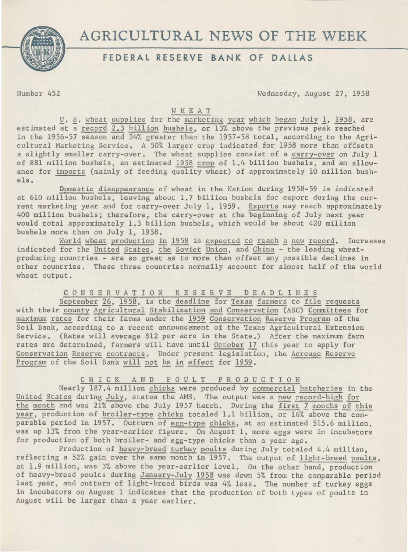

# AGRICULTURAL NEWS OF THE WEEK

## **FEDERAL RESERVE BANK OF DALLAS**

Number 452 Wednesday, August 27, 1958

## WHEAT

U. S. wheat supplies for the marketing year which began July 1, 1958, are estimated at a record 2.3 billion bushels, or 13% above the previous peak reached in the 1956-57 season and 24% greater than the 1957-58 total, according to the Agricultural Marketing Service. A 50% larger crop indicated for 1958 more than offsets a slightly smaller carry-over. The wheat supplies consist of a carry-over on July 1 of 881 million bushels, an estimated 1958 crop of 1.4 billion bushels, and an allowance for imports (mainly of feeding quality wheat) of approximately 10 million bushels.

Domestic disappearance of wheat in the Nation during 1958-59 is indicated at 610 million bushels, leaving about 1.7 billion bushels for export during the current marketing year and for carry-over July 1, 1959. Exports may reach approximately 400 million bushels; therefore, the carry-over at the beginning of July next year would total approximately 1.3 billion bushels, which would be about 420 million bushels more than on July 1, 1958.

World wheat production in 1958 is expected to reach a new record. Increases indicated for the United States, the Soviet Union, and China - the leading wheatproducing countries - are so great as to more than offset any possible declines in other countries. These three countries normally account for almost half of the world wheat output.

C 0 N S E R V A T I 0 N R E S E R V E D E A D L I N E S

September 26, 1958, is the deadline for Texas farmers to file requests with their county Agricultural Stabilization and Conservation (ASC) Committees for maximum rates for their farms under the 1959 Conservation Reserve Program of the Soil Bank, according to a recent announcement of the Texas Agricultural Extension Service. (Rates will average \$12 per acre in the State.) After the maximum farm rates are determined, farmers will have until October 17 this year to apply for Conservation Reserve contracts. Under present legislation, the Acreage Reserve Program of the Soil Bank will not be in effect for 1959.

C H I C K A N D P 0 U L T P R 0 D U C T I 0 N

Nearly 187.4 million chicks were produced by commercial hatcheries in the United States during July, states the AMS. The output was a new record-high for the month and was 21% above the July 1957 hatch. During the first 7 months of this year, production of broiler-type chicks totaled 1.1 billion, or 16% above the comparable period in 1957. Outturn of egg-type chicks, at an estimated 515.6 million, was up 13% from the year-earlier figure. On August 1, more eggs were in incubators for production of both broiler- and egg-type chicks than a year ago.

Production of heavy-breed turkey poults during July totaled 4.4 million, reflecting a 52% gain over the same month in 1957. The output of light-breed poults, at 1.9 million, was 3% above the year-earlier level. On the other hand, production of heavy-breed poults during January-July 1958 was down 5% from the comparable period last year, and outturn of light-breed birds was 4% less. The number of turkey eggs in incubators on August 1 indicates that the production of both types of poults in August will be larger than a year earlier.